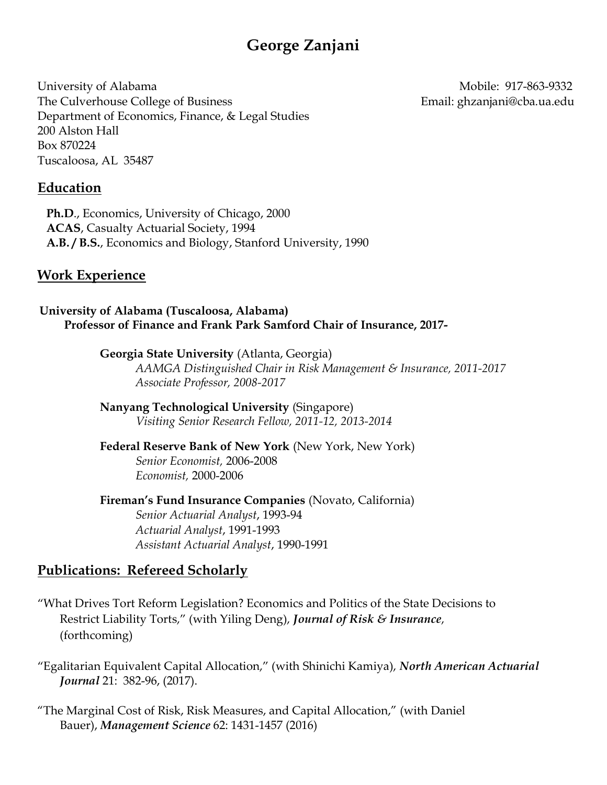# George Zanjani

University of Alabama Mobile: 917-863-9332 The Culverhouse College of Business The Culverhouse College of Business Email: ghzanjani@cba.ua.edu Department of Economics, Finance, & Legal Studies 200 Alston Hall Box 870224 Tuscaloosa, AL 35487

#### Education

 Ph.D., Economics, University of Chicago, 2000 ACAS, Casualty Actuarial Society, 1994 A.B. / B.S., Economics and Biology, Stanford University, 1990

#### Work Experience

University of Alabama (Tuscaloosa, Alabama) Professor of Finance and Frank Park Samford Chair of Insurance, 2017-

> Georgia State University (Atlanta, Georgia) AAMGA Distinguished Chair in Risk Management & Insurance, 2011-2017 Associate Professor, 2008-2017

 Nanyang Technological University (Singapore) Visiting Senior Research Fellow, 2011-12, 2013-2014

 Federal Reserve Bank of New York (New York, New York) Senior Economist, 2006-2008 Economist, 2000-2006

 Fireman's Fund Insurance Companies (Novato, California) Senior Actuarial Analyst, 1993-94 Actuarial Analyst, 1991-1993 Assistant Actuarial Analyst, 1990-1991

#### Publications: Refereed Scholarly

"What Drives Tort Reform Legislation? Economics and Politics of the State Decisions to Restrict Liability Torts," (with Yiling Deng), Journal of Risk & Insurance, (forthcoming)

"Egalitarian Equivalent Capital Allocation," (with Shinichi Kamiya), North American Actuarial Journal 21: 382-96, (2017).

"The Marginal Cost of Risk, Risk Measures, and Capital Allocation," (with Daniel Bauer), Management Science 62: 1431-1457 (2016)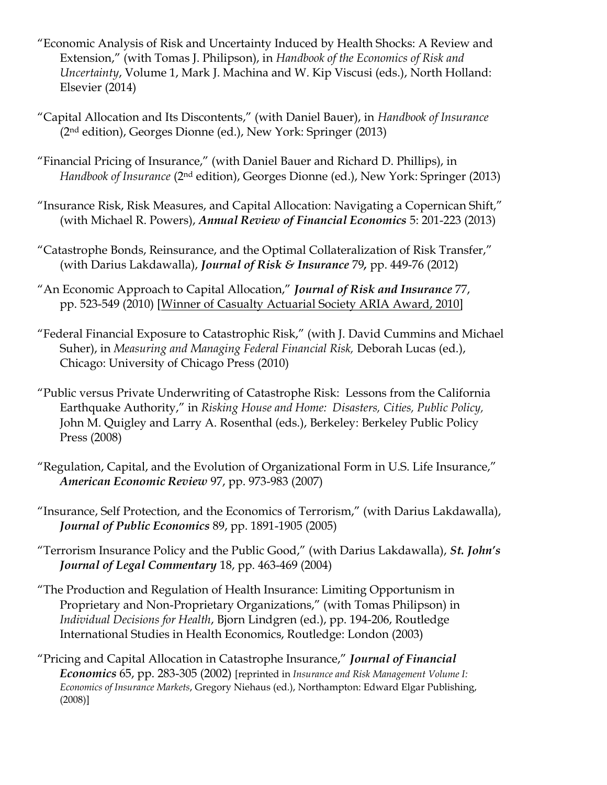- "Economic Analysis of Risk and Uncertainty Induced by Health Shocks: A Review and Extension," (with Tomas J. Philipson), in Handbook of the Economics of Risk and Uncertainty, Volume 1, Mark J. Machina and W. Kip Viscusi (eds.), North Holland: Elsevier (2014)
- "Capital Allocation and Its Discontents," (with Daniel Bauer), in Handbook of Insurance (2nd edition), Georges Dionne (ed.), New York: Springer (2013)
- "Financial Pricing of Insurance," (with Daniel Bauer and Richard D. Phillips), in Handbook of Insurance (2<sup>nd</sup> edition), Georges Dionne (ed.), New York: Springer (2013)
- "Insurance Risk, Risk Measures, and Capital Allocation: Navigating a Copernican Shift," (with Michael R. Powers), Annual Review of Financial Economics 5: 201-223 (2013)
- "Catastrophe Bonds, Reinsurance, and the Optimal Collateralization of Risk Transfer," (with Darius Lakdawalla), Journal of Risk & Insurance 79, pp. 449-76 (2012)
- "An Economic Approach to Capital Allocation," Journal of Risk and Insurance 77, pp. 523-549 (2010) [Winner of Casualty Actuarial Society ARIA Award, 2010]
- "Federal Financial Exposure to Catastrophic Risk," (with J. David Cummins and Michael Suher), in Measuring and Managing Federal Financial Risk, Deborah Lucas (ed.), Chicago: University of Chicago Press (2010)
- "Public versus Private Underwriting of Catastrophe Risk: Lessons from the California Earthquake Authority," in Risking House and Home: Disasters, Cities, Public Policy, John M. Quigley and Larry A. Rosenthal (eds.), Berkeley: Berkeley Public Policy Press (2008)
- "Regulation, Capital, and the Evolution of Organizational Form in U.S. Life Insurance," American Economic Review 97, pp. 973-983 (2007)
- "Insurance, Self Protection, and the Economics of Terrorism," (with Darius Lakdawalla), Journal of Public Economics 89, pp. 1891-1905 (2005)
- "Terrorism Insurance Policy and the Public Good," (with Darius Lakdawalla), St. John's Journal of Legal Commentary 18, pp. 463-469 (2004)
- "The Production and Regulation of Health Insurance: Limiting Opportunism in Proprietary and Non-Proprietary Organizations," (with Tomas Philipson) in Individual Decisions for Health, Bjorn Lindgren (ed.), pp. 194-206, Routledge International Studies in Health Economics, Routledge: London (2003)
- "Pricing and Capital Allocation in Catastrophe Insurance," Journal of Financial Economics 65, pp. 283-305 (2002) [reprinted in Insurance and Risk Management Volume I: Economics of Insurance Markets, Gregory Niehaus (ed.), Northampton: Edward Elgar Publishing, (2008)]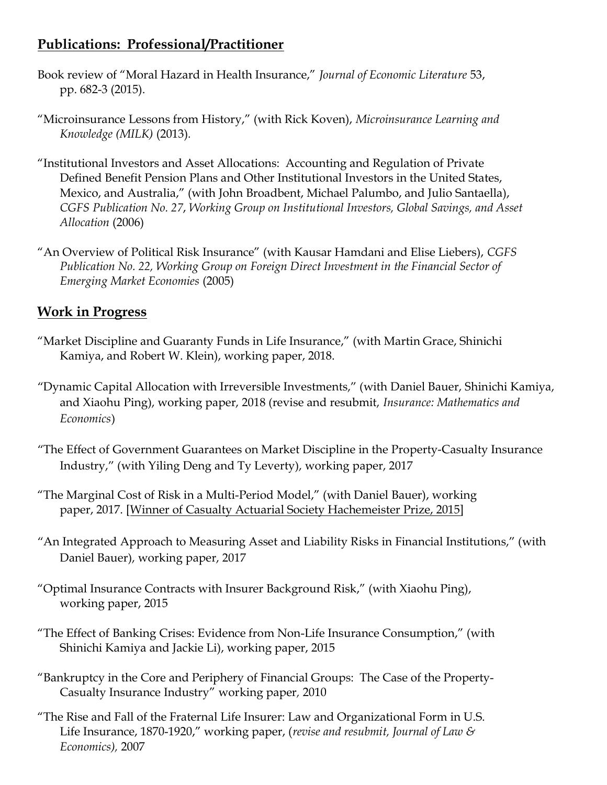## Publications: Professional/Practitioner

- Book review of "Moral Hazard in Health Insurance," Journal of Economic Literature 53, pp. 682-3 (2015).
- "Microinsurance Lessons from History," (with Rick Koven), Microinsurance Learning and Knowledge (MILK) (2013).
- "Institutional Investors and Asset Allocations: Accounting and Regulation of Private Defined Benefit Pension Plans and Other Institutional Investors in the United States, Mexico, and Australia," (with John Broadbent, Michael Palumbo, and Julio Santaella), CGFS Publication No. 27, Working Group on Institutional Investors, Global Savings, and Asset Allocation (2006)
- "An Overview of Political Risk Insurance" (with Kausar Hamdani and Elise Liebers), CGFS Publication No. 22, Working Group on Foreign Direct Investment in the Financial Sector of Emerging Market Economies (2005)

# Work in Progress

- "Market Discipline and Guaranty Funds in Life Insurance," (with Martin Grace, Shinichi Kamiya, and Robert W. Klein), working paper, 2018.
- "Dynamic Capital Allocation with Irreversible Investments," (with Daniel Bauer, Shinichi Kamiya, and Xiaohu Ping), working paper, 2018 (revise and resubmit, Insurance: Mathematics and Economics)
- "The Effect of Government Guarantees on Market Discipline in the Property-Casualty Insurance Industry," (with Yiling Deng and Ty Leverty), working paper, 2017
- "The Marginal Cost of Risk in a Multi-Period Model," (with Daniel Bauer), working paper, 2017. [Winner of Casualty Actuarial Society Hachemeister Prize, 2015]
- "An Integrated Approach to Measuring Asset and Liability Risks in Financial Institutions," (with Daniel Bauer), working paper, 2017
- "Optimal Insurance Contracts with Insurer Background Risk," (with Xiaohu Ping), working paper, 2015
- "The Effect of Banking Crises: Evidence from Non-Life Insurance Consumption," (with Shinichi Kamiya and Jackie Li), working paper, 2015
- "Bankruptcy in the Core and Periphery of Financial Groups: The Case of the Property-Casualty Insurance Industry" working paper, 2010
- "The Rise and Fall of the Fraternal Life Insurer: Law and Organizational Form in U.S. Life Insurance, 1870-1920," working paper, (revise and resubmit, Journal of Law & Economics), 2007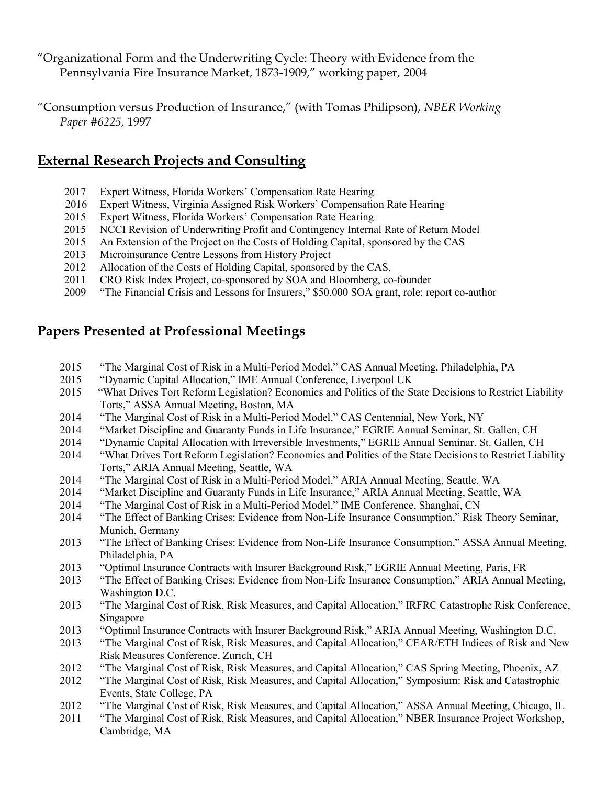"Organizational Form and the Underwriting Cycle: Theory with Evidence from the Pennsylvania Fire Insurance Market, 1873-1909," working paper, 2004

"Consumption versus Production of Insurance," (with Tomas Philipson), NBER Working Paper #6225, 1997

### External Research Projects and Consulting

- 2017 Expert Witness, Florida Workers' Compensation Rate Hearing
- 2016 Expert Witness, Virginia Assigned Risk Workers' Compensation Rate Hearing
- 2015 Expert Witness, Florida Workers' Compensation Rate Hearing
- 2015 NCCI Revision of Underwriting Profit and Contingency Internal Rate of Return Model
- 2015 An Extension of the Project on the Costs of Holding Capital, sponsored by the CAS
- 2013 Microinsurance Centre Lessons from History Project
- 2012 Allocation of the Costs of Holding Capital, sponsored by the CAS,
- 2011 CRO Risk Index Project, co-sponsored by SOA and Bloomberg, co-founder
- 2009 "The Financial Crisis and Lessons for Insurers," \$50,000 SOA grant, role: report co-author

### Papers Presented at Professional Meetings

- 2015 "The Marginal Cost of Risk in a Multi-Period Model," CAS Annual Meeting, Philadelphia, PA
- 2015 "Dynamic Capital Allocation," IME Annual Conference, Liverpool UK
- 2015 "What Drives Tort Reform Legislation? Economics and Politics of the State Decisions to Restrict Liability Torts," ASSA Annual Meeting, Boston, MA
- 2014 "The Marginal Cost of Risk in a Multi-Period Model," CAS Centennial, New York, NY
- 2014 "Market Discipline and Guaranty Funds in Life Insurance," EGRIE Annual Seminar, St. Gallen, CH
- 2014 "Dynamic Capital Allocation with Irreversible Investments," EGRIE Annual Seminar, St. Gallen, CH
- 2014 "What Drives Tort Reform Legislation? Economics and Politics of the State Decisions to Restrict Liability Torts," ARIA Annual Meeting, Seattle, WA
- 2014 "The Marginal Cost of Risk in a Multi-Period Model," ARIA Annual Meeting, Seattle, WA
- 2014 "Market Discipline and Guaranty Funds in Life Insurance," ARIA Annual Meeting, Seattle, WA
- 2014 "The Marginal Cost of Risk in a Multi-Period Model," IME Conference, Shanghai, CN
- 2014 "The Effect of Banking Crises: Evidence from Non-Life Insurance Consumption," Risk Theory Seminar, Munich, Germany
- 2013 "The Effect of Banking Crises: Evidence from Non-Life Insurance Consumption," ASSA Annual Meeting, Philadelphia, PA
- 2013 "Optimal Insurance Contracts with Insurer Background Risk," EGRIE Annual Meeting, Paris, FR
- 2013 "The Effect of Banking Crises: Evidence from Non-Life Insurance Consumption," ARIA Annual Meeting, Washington D.C.
- 2013 "The Marginal Cost of Risk, Risk Measures, and Capital Allocation," IRFRC Catastrophe Risk Conference, Singapore
- 2013 "Optimal Insurance Contracts with Insurer Background Risk," ARIA Annual Meeting, Washington D.C.
- 2013 "The Marginal Cost of Risk, Risk Measures, and Capital Allocation," CEAR/ETH Indices of Risk and New Risk Measures Conference, Zurich, CH
- 2012 "The Marginal Cost of Risk, Risk Measures, and Capital Allocation," CAS Spring Meeting, Phoenix, AZ
- 2012 "The Marginal Cost of Risk, Risk Measures, and Capital Allocation," Symposium: Risk and Catastrophic Events, State College, PA
- 2012 "The Marginal Cost of Risk, Risk Measures, and Capital Allocation," ASSA Annual Meeting, Chicago, IL
- 2011 "The Marginal Cost of Risk, Risk Measures, and Capital Allocation," NBER Insurance Project Workshop, Cambridge, MA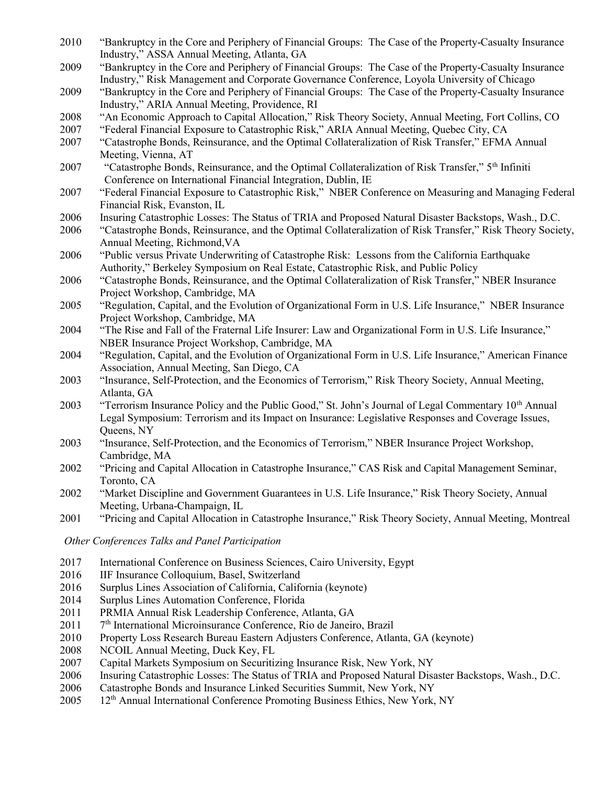- 2010 "Bankruptcy in the Core and Periphery of Financial Groups: The Case of the Property-Casualty Insurance Industry," ASSA Annual Meeting, Atlanta, GA
- 2009 "Bankruptcy in the Core and Periphery of Financial Groups: The Case of the Property-Casualty Insurance Industry," Risk Management and Corporate Governance Conference, Loyola University of Chicago
- 2009 "Bankruptcy in the Core and Periphery of Financial Groups: The Case of the Property-Casualty Insurance Industry," ARIA Annual Meeting, Providence, RI
- 2008 "An Economic Approach to Capital Allocation," Risk Theory Society, Annual Meeting, Fort Collins, CO
- 2007 "Federal Financial Exposure to Catastrophic Risk," ARIA Annual Meeting, Quebec City, CA
- 2007 "Catastrophe Bonds, Reinsurance, and the Optimal Collateralization of Risk Transfer," EFMA Annual Meeting, Vienna, AT
- 2007 "Catastrophe Bonds, Reinsurance, and the Optimal Collateralization of Risk Transfer," 5th Infiniti Conference on International Financial Integration, Dublin, IE
- 2007 "Federal Financial Exposure to Catastrophic Risk," NBER Conference on Measuring and Managing Federal Financial Risk, Evanston, IL
- 2006 Insuring Catastrophic Losses: The Status of TRIA and Proposed Natural Disaster Backstops, Wash., D.C.
- 2006 "Catastrophe Bonds, Reinsurance, and the Optimal Collateralization of Risk Transfer," Risk Theory Society, Annual Meeting, Richmond,VA
- 2006 "Public versus Private Underwriting of Catastrophe Risk: Lessons from the California Earthquake Authority," Berkeley Symposium on Real Estate, Catastrophic Risk, and Public Policy
- 2006 "Catastrophe Bonds, Reinsurance, and the Optimal Collateralization of Risk Transfer," NBER Insurance Project Workshop, Cambridge, MA
- 2005 "Regulation, Capital, and the Evolution of Organizational Form in U.S. Life Insurance," NBER Insurance Project Workshop, Cambridge, MA
- 2004 "The Rise and Fall of the Fraternal Life Insurer: Law and Organizational Form in U.S. Life Insurance," NBER Insurance Project Workshop, Cambridge, MA
- 2004 "Regulation, Capital, and the Evolution of Organizational Form in U.S. Life Insurance," American Finance Association, Annual Meeting, San Diego, CA
- 2003 "Insurance, Self-Protection, and the Economics of Terrorism," Risk Theory Society, Annual Meeting, Atlanta, GA
- 2003 "Terrorism Insurance Policy and the Public Good," St. John's Journal of Legal Commentary 10<sup>th</sup> Annual Legal Symposium: Terrorism and its Impact on Insurance: Legislative Responses and Coverage Issues, Queens, NY
- 2003 "Insurance, Self-Protection, and the Economics of Terrorism," NBER Insurance Project Workshop, Cambridge, MA
- 2002 "Pricing and Capital Allocation in Catastrophe Insurance," CAS Risk and Capital Management Seminar, Toronto, CA
- 2002 "Market Discipline and Government Guarantees in U.S. Life Insurance," Risk Theory Society, Annual Meeting, Urbana-Champaign, IL
- 2001 "Pricing and Capital Allocation in Catastrophe Insurance," Risk Theory Society, Annual Meeting, Montreal

Other Conferences Talks and Panel Participation

- 2017 International Conference on Business Sciences, Cairo University, Egypt
- 2016 IIF Insurance Colloquium, Basel, Switzerland
- 2016 Surplus Lines Association of California, California (keynote)
- 2014 Surplus Lines Automation Conference, Florida
- 2011 PRMIA Annual Risk Leadership Conference, Atlanta, GA
- 2011 7<sup>th</sup> International Microinsurance Conference, Rio de Janeiro, Brazil
- 2010 Property Loss Research Bureau Eastern Adjusters Conference, Atlanta, GA (keynote)
- 2008 NCOIL Annual Meeting, Duck Key, FL
- 2007 Capital Markets Symposium on Securitizing Insurance Risk, New York, NY
- 2006 Insuring Catastrophic Losses: The Status of TRIA and Proposed Natural Disaster Backstops, Wash., D.C.
- 2006 Catastrophe Bonds and Insurance Linked Securities Summit, New York, NY
- 2005 12th Annual International Conference Promoting Business Ethics, New York, NY